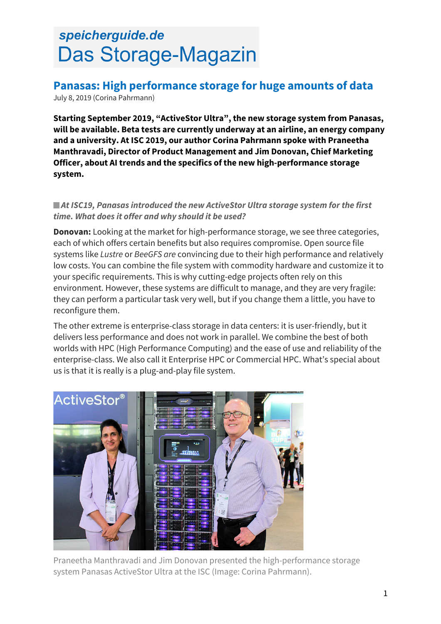# speicherguide.de Das Storage-Magazin

# **Panasas: High performance storage for huge amounts of data**

July 8, 2019 (Corina Pahrmann)

**Starting September 2019, "ActiveStor Ultra", the new storage system from Panasas, will be available. Beta tests are currently underway at an airline, an energy company and a university. At ISC 2019, our author Corina Pahrmann spoke with Praneetha Manthravadi, Director of Product Management and Jim Donovan, Chief Marketing Officer, about AI trends and the specifics of the new high-performance storage system.**

#### *At ISC19, Panasas introduced the new ActiveStor Ultra storage system for the first time. What does it offer and why should it be used?*

**Donovan:** Looking at the market for high-performance storage, we see three categories, each of which offers certain benefits but also requires compromise. Open source file systems like *Lustre* or *BeeGFS are* convincing due to their high performance and relatively low costs. You can combine the file system with commodity hardware and customize it to your specific requirements. This is why cutting-edge projects often rely on this environment. However, these systems are difficult to manage, and they are very fragile: they can perform a particular task very well, but if you change them a little, you have to reconfigure them.

The other extreme is enterprise-class storage in data centers: it is user-friendly, but it delivers less performance and does not work in parallel. We combine the best of both worlds with HPC (High Performance Computing) and the ease of use and reliability of the enterprise-class. We also call it Enterprise HPC or Commercial HPC. What's special about us is that it is really is a plug-and-play file system.



Praneetha Manthravadi and Jim Donovan presented the high-performance storage system Panasas ActiveStor Ultra at the ISC (Image: Corina Pahrmann).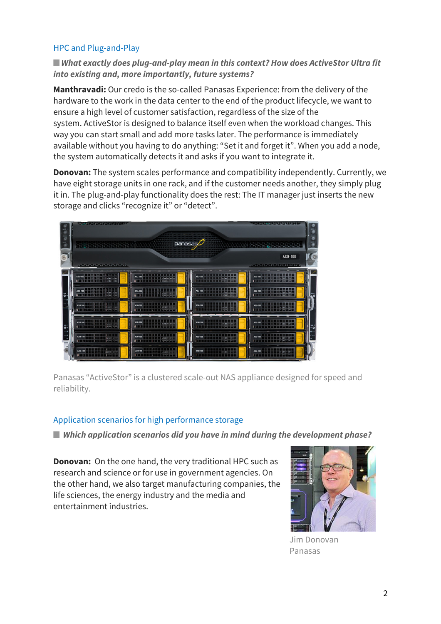## HPC and Plug-and-Play

# *What exactly does plug-and-play mean in this context? How does ActiveStor Ultra fit into existing and, more importantly, future systems?*

**Manthravadi:** Our credo is the so-called Panasas Experience: from the delivery of the hardware to the work in the data center to the end of the product lifecycle, we want to ensure a high level of customer satisfaction, regardless of the size of the system. ActiveStor is designed to balance itself even when the workload changes. This way you can start small and add more tasks later. The performance is immediately available without you having to do anything: "Set it and forget it". When you add a node, the system automatically detects it and asks if you want to integrate it.

**Donovan:** The system scales performance and compatibility independently. Currently, we have eight storage units in one rack, and if the customer needs another, they simply plug it in. The plug-and-play functionality does the rest: The IT manager just inserts the new storage and clicks "recognize it" or "detect".



Panasas "ActiveStor" is a clustered scale-out NAS appliance designed for speed and reliability.

#### Application scenarios for high performance storage

*Which application scenarios did you have in mind during the development phase?*

**Donovan:** On the one hand, the very traditional HPC such as research and science or for use in government agencies. On the other hand, we also target manufacturing companies, the life sciences, the energy industry and the media and entertainment industries.



Jim Donovan Panasas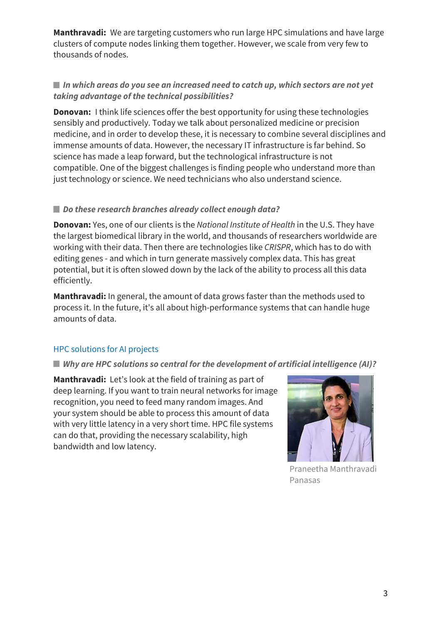**Manthravadi:** We are targeting customers who run large HPC simulations and have large clusters of compute nodes linking them together. However, we scale from very few to thousands of nodes.

# ■ In which areas do you see an increased need to catch up, which sectors are not yet *taking advantage of the technical possibilities?*

**Donovan:** I think life sciences offer the best opportunity for using these technologies sensibly and productively. Today we talk about personalized medicine or precision medicine, and in order to develop these, it is necessary to combine several disciplines and immense amounts of data. However, the necessary IT infrastructure is far behind. So science has made a leap forward, but the technological infrastructure is not compatible. One of the biggest challenges is finding people who understand more than just technology or science. We need technicians who also understand science.

## *Do these research branches already collect enough data?*

**Donovan:** Yes, one of our clients is the *National Institute of Health* in the U.S. They have the largest biomedical library in the world, and thousands of researchers worldwide are working with their data. Then there are technologies like *CRISPR*, which has to do with editing genes - and which in turn generate massively complex data. This has great potential, but it is often slowed down by the lack of the ability to process all this data efficiently.

**Manthravadi:** In general, the amount of data grows faster than the methods used to process it. In the future, it's all about high-performance systems that can handle huge amounts of data.

# HPC solutions for AI projects

#### *Why are HPC solutions so central for the development of artificial intelligence (AI)?*

**Manthravadi:** Let's look at the field of training as part of deep learning. If you want to train neural networks for image recognition, you need to feed many random images. And your system should be able to process this amount of data with very little latency in a very short time. HPC file systems can do that, providing the necessary scalability, high bandwidth and low latency.



Praneetha Manthravadi Panasas